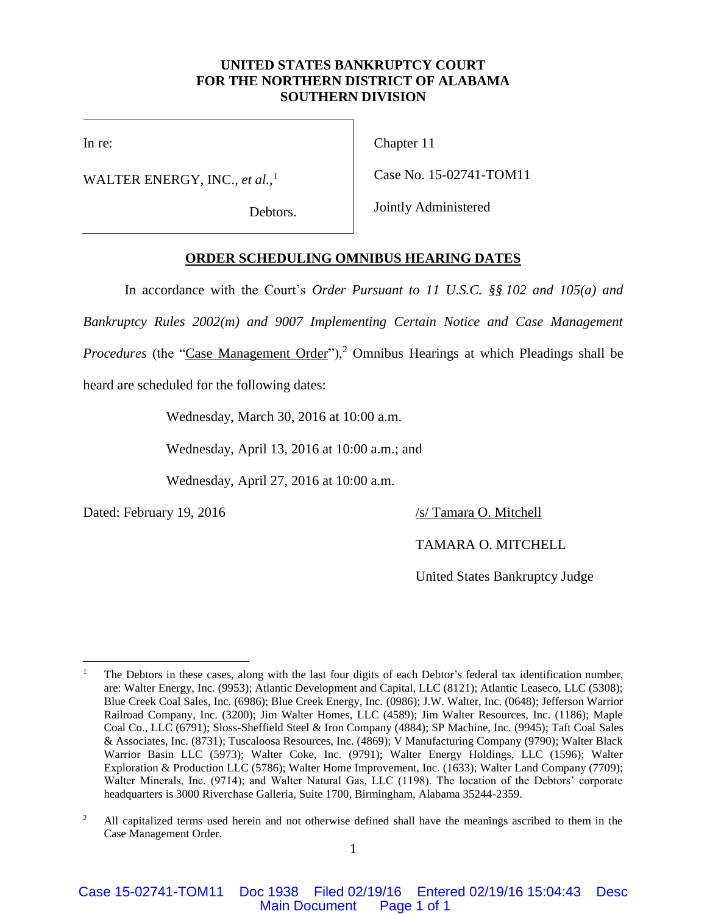### **UNITED STATES BANKRUPTCY COURT FOR THE NORTHERN DISTRICT OF ALABAMA SOUTHERN DIVISION**

In re:

WALTER ENERGY, INC., *et al.*, 1

Debtors.

Chapter 11

Case No. 15-02741-TOM11

Jointly Administered

## **ORDER SCHEDULING OMNIBUS HEARING DATES**

In accordance with the Court's *Order Pursuant to 11 U.S.C. §§ 102 and 105(a) and* 

*Bankruptcy Rules 2002(m) and 9007 Implementing Certain Notice and Case Management* 

Procedures (the "Case Management Order"),<sup>2</sup> Omnibus Hearings at which Pleadings shall be

heard are scheduled for the following dates:

Wednesday, March 30, 2016 at 10:00 a.m.

Wednesday, April 13, 2016 at 10:00 a.m.; and

Wednesday, April 27, 2016 at 10:00 a.m.

Dated: February 19, 2016 /s/ Tamara O. Mitchell

TAMARA O. MITCHELL

United States Bankruptcy Judge

 $\overline{a}$ <sup>1</sup> The Debtors in these cases, along with the last four digits of each Debtor's federal tax identification number, are: Walter Energy, Inc. (9953); Atlantic Development and Capital, LLC (8121); Atlantic Leaseco, LLC (5308); Blue Creek Coal Sales, Inc. (6986); Blue Creek Energy, Inc. (0986); J.W. Walter, Inc. (0648); Jefferson Warrior Railroad Company, Inc. (3200); Jim Walter Homes, LLC (4589); Jim Walter Resources, Inc. (1186); Maple Coal Co., LLC (6791); Sloss-Sheffield Steel & Iron Company (4884); SP Machine, Inc. (9945); Taft Coal Sales & Associates, Inc. (8731); Tuscaloosa Resources, Inc. (4869); V Manufacturing Company (9790); Walter Black Warrior Basin LLC (5973); Walter Coke, Inc. (9791); Walter Energy Holdings, LLC (1596); Walter Exploration & Production LLC (5786); Walter Home Improvement, Inc. (1633); Walter Land Company (7709); Walter Minerals, Inc. (9714); and Walter Natural Gas, LLC (1198). The location of the Debtors' corporate headquarters is 3000 Riverchase Galleria, Suite 1700, Birmingham, Alabama 35244-2359.

<sup>&</sup>lt;sup>2</sup> All capitalized terms used herein and not otherwise defined shall have the meanings ascribed to them in the Case Management Order.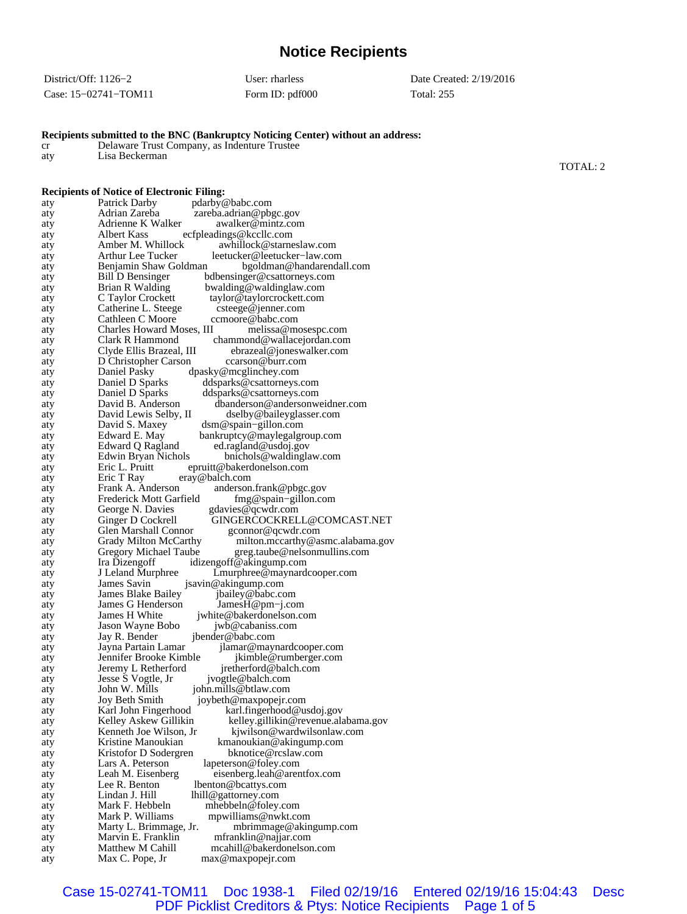# **Notice Recipients**

| District/Off: $1126-2$ | User: rharless  | Date Created: 2/19/2016 |
|------------------------|-----------------|-------------------------|
| Case: 15-02741-TOM11   | Form ID: pdf000 | Total: 255              |

**Recipients submitted to the BNC (Bankruptcy Noticing Center) without an address:**

cr Delaware Trust Company, as Indenture Trustee

| aty        | Lisa Beckerman                                                                                    |          |
|------------|---------------------------------------------------------------------------------------------------|----------|
|            |                                                                                                   | TOTAL: 2 |
|            | <b>Recipients of Notice of Electronic Filing:</b>                                                 |          |
| aty        | Patrick Darby<br>pdarby@babc.com                                                                  |          |
| aty        | Adrian Zareba<br>zareba.adrian@pbgc.gov                                                           |          |
| aty        | Adrienne K Walker<br>awalker@mintz.com                                                            |          |
| aty        | Albert Kass<br>ecfpleadings@kccllc.com                                                            |          |
| aty        | Amber M. Whillock<br>awhillock@starneslaw.com<br>Arthur Lee Tucker<br>leetucker@leetucker-law.com |          |
| aty<br>aty | Benjamin Shaw Goldman<br>bgoldman@handarendall.com                                                |          |
| aty        | Bill D Bensinger<br>bdbensinger@csattorneys.com                                                   |          |
| aty        | Brian R Walding<br>bwalding@waldinglaw.com                                                        |          |
| aty        | C Taylor Crockett<br>taylor@taylorcrockett.com                                                    |          |
| aty        | Catherine L. Steege<br>csteege@jenner.com<br>Cathleen C Moore<br>ccmoore@babc.com                 |          |
| aty<br>aty | Charles Howard Moses, III<br>melissa@mosespc.com                                                  |          |
| aty        | Clark R Hammond<br>chammond@wallacejordan.com                                                     |          |
| aty        | Clyde Ellis Brazeal, III<br>ebrazeal@joneswalker.com                                              |          |
| aty        | D Christopher Carson<br>ccarson@burr.com                                                          |          |
| aty        | Daniel Pasky<br>dpasky@mcglinchey.com                                                             |          |
| aty<br>aty | Daniel D Sparks<br>ddsparks@csattorneys.com<br>Daniel D Sparks<br>ddsparks@csattorneys.com        |          |
| aty        | David B. Anderson<br>dbanderson@andersonweidner.com                                               |          |
| aty        | David Lewis Selby, II<br>dselby@baileyglasser.com                                                 |          |
| aty        | David S. Maxey<br>dsm@spain-gillon.com                                                            |          |
| aty        | Edward E. May<br>bankruptcy@maylegalgroup.com                                                     |          |
| aty<br>aty | Edward Q Ragland<br>ed.ragland@usdoj.gov<br>Edwin Bryan Nichols<br>bnichols@waldinglaw.com        |          |
| aty        | Eric L. Pruitt<br>epruitt@bakerdonelson.com                                                       |          |
| aty        | Eric T Ray<br>eray@balch.com                                                                      |          |
| aty        | Frank A. Anderson<br>anderson.frank@pbgc.gov                                                      |          |
| aty        | Frederick Mott Garfield<br>$fmg@spain-gillon.com$                                                 |          |
| aty<br>aty | gdavies@qcwdr.com<br>George N. Davies<br>Ginger D Cockrell<br>GINGERCOCKRELL@COMCAST.NET          |          |
| aty        | Glen Marshall Connor<br>gconnor@qcwdr.com                                                         |          |
| aty        | Grady Milton McCarthy<br>milton.mccarthy@asmc.alabama.gov                                         |          |
| aty        | Gregory Michael Taube<br>greg.taube@nelsonmullins.com                                             |          |
| aty        | Ira Dizengoff<br>idizengoff@akingump.com                                                          |          |
| aty<br>aty | J Leland Murphree<br>Lmurphree@maynardcooper.com<br>James Savin<br>jsavin@akingump.com            |          |
| aty        | James Blake Bailey<br>jbailey@babc.com                                                            |          |
| aty        | James G Henderson<br>$James H@pm-i.com$                                                           |          |
| aty        | James H White<br>jwhite@bakerdonelson.com                                                         |          |
| aty        | Jason Wayne Bobo<br>jwb@cabaniss.com<br>Jay R. Bender<br>jbender@babc.com                         |          |
| aty<br>aty | Jayna Partain Lamar<br>jlamar@maynardcooper.com                                                   |          |
| aty        | Jennifer Brooke Kimble<br>jkimble@rumberger.com                                                   |          |
| aty        | Jeremy L Retherford<br>jretherford@balch.com                                                      |          |
| aty        | Jesse S Vogtle, Jr<br>jvogtle@balch.com                                                           |          |
| aty<br>aty | John W. Mills<br>john.mills@btlaw.com<br>Joy Beth Smith<br>joybeth@maxpopejr.com                  |          |
| aty        | Karl John Fingerhood<br>karl.fingerhood@usdoj.gov                                                 |          |
| aty        | kelley.gillikin@revenue.alabama.gov<br>Kelley Askew Gillikin                                      |          |
| aty        | Kenneth Joe Wilson, Jr<br>kjwilson@wardwilsonlaw.com                                              |          |
| aty        | Kristine Manoukian<br>$k$ manoukian@akingump.com                                                  |          |
| aty<br>aty | Kristofor D Sodergren<br>bknotice@rcslaw.com<br>lapeterson@foley.com<br>Lars A. Peterson          |          |
| aty        | Leah M. Eisenberg<br>eisenberg.leah@arentfox.com                                                  |          |
| aty        | Lee R. Benton<br>lbenton@bcattys.com                                                              |          |
| aty        | Lindan J. Hill<br>lhill@gattorney.com                                                             |          |
| aty        | Mark F. Hebbeln<br>mhebbeln@foley.com                                                             |          |
| aty        | Mark P. Williams<br>mpwilliams@nwkt.com<br>mbrimmage@akingump.com                                 |          |
| aty<br>aty | Marty L. Brimmage, Jr.<br>Marvin E. Franklin<br>mfranklin@najjar.com                              |          |
| aty        | Matthew M Cahill<br>mcahill@bakerdonelson.com                                                     |          |
| aty        | Max C. Pope, Jr<br>max@maxpopejr.com                                                              |          |

## Case 15-02741-TOM11 Doc 1938-1 Filed 02/19/16 Entered 02/19/16 15:04:43 Desc PDF Picklist Creditors & Ptys: Notice Recipients Page 1 of 5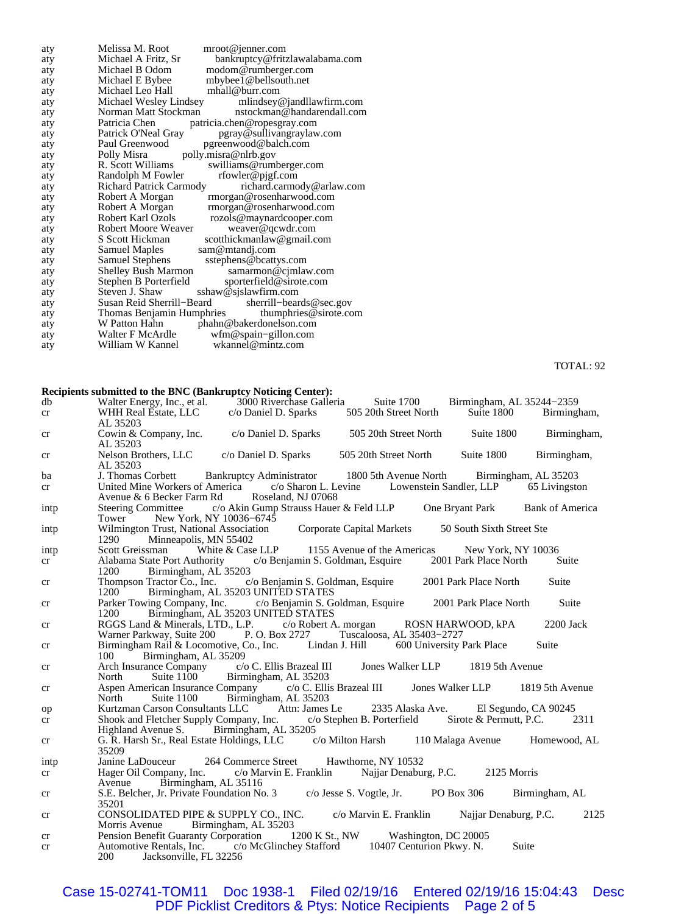| aty | Melissa M. Root<br>mroot@jenner.com                         |
|-----|-------------------------------------------------------------|
| aty | bankruptcy@fritzlawalabama.com<br>Michael A Fritz, Sr       |
| aty | modom@rumberger.com<br>Michael B Odom                       |
| aty | mbybee1@bellsouth.net<br>Michael E Bybee                    |
| aty | Michael Leo Hall<br>mhall@burr.com                          |
| aty | Michael Wesley Lindsey mlindsey@jandllawfirm.com            |
| aty | nstockman@handarendall.com<br>Norman Matt Stockman          |
| aty | Patricia Chen<br>patricia.chen@ropesgray.com                |
| aty | Patrick O'Neal Gray<br>pgray@sullivangraylaw.com            |
| aty | Paul Greenwood<br>pgreenwood@balch.com                      |
| aty | Polly Misra polly misra@nlrb.gov                            |
| aty | R. Scott Williams<br>swilliams@rumberger.com                |
| aty | rfowler@pjgf.com<br>Randolph M Fowler                       |
| aty | <b>Richard Patrick Carmody</b><br>richard.carmody@arlaw.com |
| aty | Robert A Morgan<br>rmorgan@rosenharwood.com                 |
| aty | Robert A Morgan<br>rmorgan@rosenharwood.com                 |
| aty | Robert Karl Ozols rozols@maynardcooper.com                  |
| aty | Robert Moore Weaver<br>weaver@qcwdr.com                     |
| aty | S Scott Hickman<br>scotthickmanlaw@gmail.com                |
| aty | Samuel Maples<br>sam@mtandj.com                             |
| aty | <b>Samuel Stephens</b><br>sstephens@bcattys.com             |
| aty | Shelley Bush Marmon<br>samarmon@cjmlaw.com                  |
| aty | sporterfield@sirote.com<br>Stephen B Porterfield            |
| aty | Steven J. Shaw<br>sshaw@sjslawfirm.com                      |
| aty | Susan Reid Sherrill–Beard<br>sherrill-beards @sec.gov       |
| aty | thumphries $@$ sirote.com<br>Thomas Benjamin Humphries      |
| aty | phahn@bakerdonelson.com<br>W Patton Hahn                    |
| aty | wfm@spain-gillon.com<br>Walter F McArdle                    |
| aty | William W Kannel<br>wkannel@mintz.com                       |

TOTAL: 92

#### **Recipients submitted to the BNC (Bankruptcy Noticing Center):**

| db   | Walter Energy, Inc., et al. 3000 Riverchase Galleria Suite 1700 Birmingham, AL 35244-2359<br>WHH Real Estate, LLC c/o Daniel D. Sparks 505 20th Street North Suite 1800 Birmingham, |                                 |  |       |
|------|-------------------------------------------------------------------------------------------------------------------------------------------------------------------------------------|---------------------------------|--|-------|
| cr   | AL 35203                                                                                                                                                                            |                                 |  |       |
| cr   | Cowin & Company, Inc. c/o Daniel D. Sparks 505 20th Street North Suite 1800 Birmingham,<br>AL 35203                                                                                 |                                 |  |       |
| cr   | Nelson Brothers, LLC c/o Daniel D. Sparks 505 20th Street North Suite 1800 Birmingham,<br>AL 35203                                                                                  |                                 |  |       |
| ba   | J. Thomas Corbett Bankruptcy Administrator 1800 5th Avenue North Birmingham, AL 35203                                                                                               |                                 |  |       |
| cr   | United Mine Workers of America c/o Sharon L. Levine Lowenstein Sandler, LLP 65 Livingston<br>Avenue & 6 Becker Farm Rd Roseland, NJ 07068                                           |                                 |  |       |
| intp | Steering Committee c/o Akin Gump Strauss Hauer & Feld LLP One Bryant Park Bank of America<br>Tower New York, NY 10036–6745                                                          |                                 |  |       |
| intp | Wilmington Trust, National Association Corporate Capital Markets 50 South Sixth Street Ste<br>1290 Minneapolis, MN 55402                                                            |                                 |  |       |
| intp | Scott Greissman White & Case LLP 1155 Avenue of the Americas New York, NY 10036                                                                                                     |                                 |  |       |
| cr   | Alabama State Port Authority c/o Benjamin S. Goldman, Esquire 2001 Park Place North Suite<br>1200 Birmingham, AL 35203                                                              |                                 |  |       |
| cr   | Thompson Tractor Co., Inc. c/o Benjamin S. Goldman, Esquire 2001 Park Place North Suite<br>1200 Birmingham, AL 35203 UNITED STATES                                                  |                                 |  |       |
| cr   | Parker Towing Company, Inc. c/o Benjamin S. Goldman, Esquire 2001 Park Place North Suite<br>1200 Birmingham, AL 35203 UNITED STATES                                                 |                                 |  |       |
| cr   | RGGS Land & Minerals, LTD., L.P. c/o Robert A. morgan ROSN HARWOOD, kPA 2200 Jack<br>Warner Parkway, Suite 200 P. O. Box 2727 Tuscaloosa, AL 35403-2727                             |                                 |  |       |
| cr   | Birmingham Rail & Locomotive, Co., Inc. Lindan J. Hill 600 University Park Place<br>100 Birmingham, AL 35209                                                                        |                                 |  | Suite |
| cr   | Arch Insurance Company c/o C. Ellis Brazeal III Jones Walker LLP 1819 5th Avenue<br>North Suite 1100 Birmingham, AL 35203                                                           |                                 |  |       |
| cr   | Aspen American Insurance Company c/o C. Ellis Brazeal III Jones Walker LLP 1819 5th Avenue<br>North                                                                                 | Suite 1100 Birmingham, AL 35203 |  |       |
| op   | Kurtzman Carson Consultants LLC Attn: James Le 2335 Alaska Ave. El Segundo, CA 90245                                                                                                |                                 |  |       |
| cr   | Shook and Fletcher Supply Company, Inc. c/o Stephen B. Porterfield Sirote & Permutt, P.C. 2311<br>Highland Avenue S. Birmingham, AL 35205                                           |                                 |  |       |
| cr   | G. R. Harsh Sr., Real Estate Holdings, LLC c/o Milton Harsh 110 Malaga Avenue Homewood, AL<br>35209                                                                                 |                                 |  |       |
| intp | Janine LaDouceur 264 Commerce Street Hawthorne, NY 10532                                                                                                                            |                                 |  |       |
| cr   | Hager Oil Company, Inc. c/o Marvin E. Franklin Najjar Denaburg, P.C. 2125 Morris<br>Avenue Birmingham, AL 35116                                                                     |                                 |  |       |
| cr   | S.E. Belcher, Jr. Private Foundation No. 3 c/o Jesse S. Vogtle, Jr. PO Box 306 Birmingham, AL<br>35201                                                                              |                                 |  |       |
| cr   | CONSOLIDATED PIPE & SUPPLY CO., INC. c/o Marvin E. Franklin Najjar Denaburg, P.C.<br>Morris Avenue Birmingham, AL 35203                                                             |                                 |  | 2125  |
| cr   | Pension Benefit Guaranty Corporation 1200 K St., NW Washington, DC 20005                                                                                                            |                                 |  |       |
| cr   | Automotive Rentals, Inc. c/o McGlinchey Stafford 10407 Centurion Pkwy. N. Suite<br>200 Jacksonville, FL 32256                                                                       |                                 |  |       |

Case 15-02741-TOM11 Doc 1938-1 Filed 02/19/16 Entered 02/19/16 15:04:43 Desc PDF Picklist Creditors & Ptys: Notice Recipients Page 2 of 5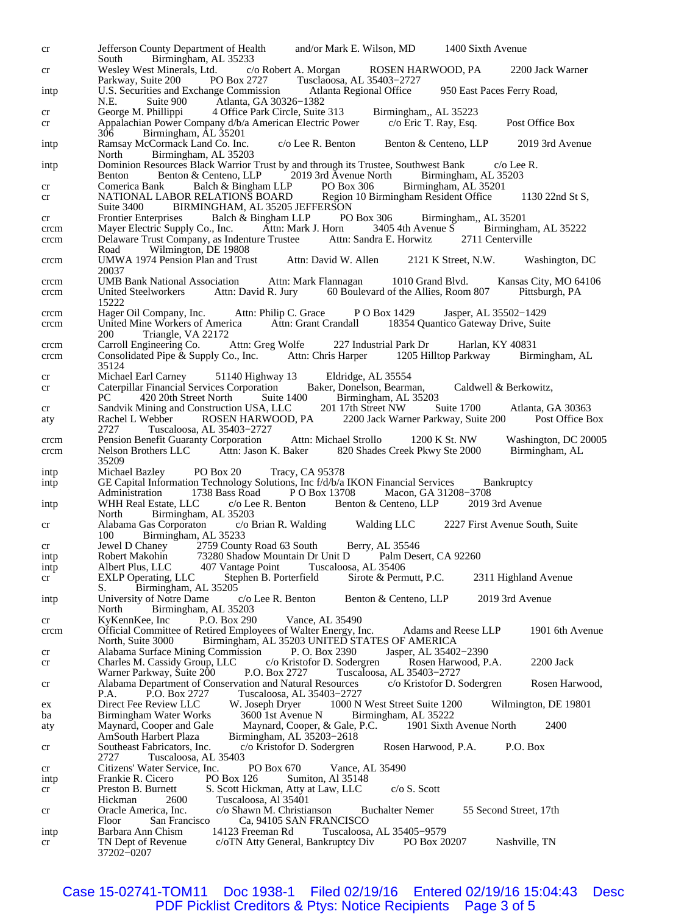cr Jefferson County Department of Health and/or Mark E. Wilson, MD 1400 Sixth Avenue South Birmingham, AL 35233<br>Wesley West Minerals, Ltd. c/o Robert A. Morgan cr Wesley West Minerals, Ltd. c/o Robert A. Morgan ROSEN HARWOOD, PA 2200 Jack Warner<br>Parkway, Suite 200 PO Box 2727 Tusclaoosa, AL 35403–2727 Parkway, Suite 200 PO Box 2727 Tusclaoosa, AL 35403−2727 intp U.S. Securities and Exchange Commission Atlanta Regional Office 950 East Paces Ferry Road, N.E. Suite 900 Atlanta, GA 30326-1382<br>George M. Phillippi 4 Office Park Circle, Suite cr George M. Phillippi 4 Office Park Circle, Suite 313 Birmingham,, AL 35223 cr Appalachian Power Company d/b/a American Electric Power c/o Eric T. Ray, Esq. Post Office Box<br>306 Birmingham, AL 35201 Birmingham, AL 35201 intp Ramsay McCormack Land Co. Inc. c/o Lee R. Benton Benton & Centeno, LLP 2019 3rd Avenue North Birmingham, AL 35203 intp Dominion Resources Black Warrior Trust by and through its Trustee, Southwest Bank c/o Lee R.<br>Benton Benton & Centeno, LLP 2019 3rd Avenue North Birmingham, AL 35203 Benton Benton & Centeno, LLP 2019 3rd Avenue North Birmingham, AL 35<br>
Comerica Bank Balch & Bingham LLP PO Box 306 Birmingham, AL 35201 cr Comerica Bank Balch & Bingham LLP PO Box 306 Birmingham, AL 352<br>cr NATIONAL LABOR RELATIONS BOARD Region 10 Birmingham Resident Office cr MATIONAL LABOR RELATIONS BOARD Region 10 Birmingham Resident Office 1130 22nd St S,<br>Suite 3400 BIRMINGHAM. AL 35205 JEFFERSON BIRMINGHAM, AL 35205 JEFFERSON cr Frontier Enterprises Balch & Bingham LLP PO Box 306 Birmingham,, AL 35201<br>crcm Mayer Electric Supply Co., Inc. Attn: Mark J. Horn 3405 4th Avenue S Birmingham, AL 35222 crcm Mayer Electric Supply Co., Inc. Attn: Mark J. Horn 3405 4th Avenue S Birminghar<br>crcm Delaware Trust Company, as Indenture Trustee Attn: Sandra E. Horwitz 2711 Centerville crcm Delaware Trust Company, as Indenture Trustee Road Wilmington, DE 19808 crcm UMWA 1974 Pension Plan and Trust Attn: David W. Allen 2121 K Street, N.W. Washington, DC 20037 crcm UMB Bank National Association Attn: Mark Flannagan 1010 Grand Blvd. Kansas City, MO 64106 crcm United Steelworkers Attn: David R. Jury 60 Boulevard of the Allies, Room 807 15222 crcm Hager Oil Company, Inc. Attn: Philip C. Grace P O Box 1429 Jasper, AL 35502-1429 crcm United Mine Workers of America Attn: Grant Crandall 18354 Quantico Gateway Drive, Suit crcm United Mine Workers of America Attn: Grant Crandall 18354 Quantico Gateway Drive, Suite 200 Triangle, VA 22172<br>Carroll Engineering Co. Attn: Greg Wolfe crcm Carroll Engineering Co. Attn: Greg Wolfe 227 Industrial Park Dr Harlan, KY 40831 crcm Consolidated Pipe & Supply Co., Inc. Attn: Chris Harper 1205 Hilltop Parkway Birmingham, AL 35124 cr Michael Earl Carney 51140 Highway 13 Eldridge, AL 35554<br>
cr Caterpillar Financial Services Corporation Baker, Donelson, Bearman, cr Caterpillar Financial Services Corporation Baker, Donelson, Bearman, Caldwell & Berkowitz,<br>PC 420 20th Street North Suite 1400 Birmingham, AL 35203 Birmingham, AL 35203<br>201 17th Street NW Suite 1700 cr Sandvik Mining and Construction USA, LLC 201 17th Street NW Suite 1700 Atlanta, GA 30363 aty Rachel L Webber ROSEN HARWOOD, PA 2200 Jack Warner Parkway, Suite 200 Post Office Box<br>2727 Tuscaloosa, AL 35403-2727 2727 Tuscaloosa, AL 35403−2727 crcm Pension Benefit Guaranty Corporation Attn: Michael Strollo 1200 K St. NW Washington, DC 20005<br>crcm Nelson Brothers LLC Attn: Jason K. Baker 820 Shades Creek Pkwy Ste 2000 Birmingham, AL 820 Shades Creek Pkwy Ste 2000 35209 intp Michael Bazley PO Box 20 Tracy, CA 95378 intp GE Capital Information Technology Solutions, Inc f/d/b/a IKON Financial Services Bankruptcy<br>Administration 1738 Bass Road P O Box 13708 Macon, GA 31208-3708 Administration 1738 Baseministration 1738<br>
American 1749 September 2019 3rd Avenue intp WHH Real Estate, LLC c/o Lee R. Benton Benton & Centeno, LLP North Birmingham, AL 35203<br>Alabama Gas Corporaton c/o Brian R. Walding cr Alabama Gas Corporaton c/o Brian R. Walding Walding LLC 2227 First Avenue South, Suite 100 Birmingham, AL 35233<br>Jewel D Chaney 2759 Count cr Jewel D Chaney 2759 County Road 63 South Berry, AL 35546<br>intp Robert Makohin 73280 Shadow Mountain Dr Unit D Palm Desert, CA 92260 intp Robert Makohin 73280 Shadow Mountain Dr Unit D Palm 1<br>intp Albert Plus, LLC 407 Vantage Point Tuscaloosa, AL 35406 407 Vantage Point cr EXLP Operating, LLC Stephen B. Porterfield Sirote & Permutt, P.C. 2311 Highland Avenue Birmingham, AL 35205 intp University of Notre Dame c/o Lee R. Benton Benton & Centeno, LLP 2019 3rd Avenue<br>North Birmingham, AL 35203 Birmingham, AL 35203<br>
e, Inc P.O. Box 290 cr KyKennKee, Inc P.O. Box 290 Vance, AL 35490 crcm Official Committee of Retired Employees of Walter Energy, Inc. Adams and Reese LLP 1901 6th Avenue North, Suite 3000 Birmingham, AL 35203 UNITED STATES OF AMERICA<br>Alabama Surface Mining Commission P. O. Box 2390 Jasper, AL 35402-2390 cr Alabama Surface Mining Commission P. O. Box 2390<br>cr Charles M. Cassidy Group, LLC c/o Kristofor D. Sodergren cr Charles M. Cassidy Group, LLC c/o Kristofor D. Sodergren Rosen Harwood, P.A. 2200 Jack<br>Warner Parkway, Suite 200 P.O. Box 2727 Tuscaloosa, AL 35403–2727 Tuscaloosa, AL 35403−2727 cr Alabama Department of Conservation and Natural Resources c/o Kristofor D. Sodergren Rosen Harwood,<br>P.A. P.O. Box 2727 Tuscaloosa, AL 35403-2727 P.A. P.O. Box 2727 Tuscaloosa, AL 35403−2727 ex Direct Fee Review LLC W. Joseph Dryer 1000 N West Street Suite 1200 Wilmington, DE 19801<br>ba Birmingham Water Works 3600 1st Avenue N Birmingham, AL 35222 ba Birmingham Water Works 3600 1st Avenue N Birmingham, AL 35222<br>aty Maynard, Cooper and Gale Maynard, Cooper, & Gale, P.C. 1901 Sixth Avenue North Maynard, Cooper and Gale Maynard, Cooper, & Gale, P.C. 1901 Sixth Avenue North 2400<br>AmSouth Harbert Plaza Birmingham, AL 35203–2618 AmSouth Harbert Plaza Birmingham, AL 35203−2618 cr Southeast Fabricators, Inc. c/o Kristofor D. Sodergren Rosen Harwood, P.A. P.O. Box 2727 Tuscaloosa, AL 35403 cr Citizens' Water Service, Inc. PO Box 670 Vance, AL 35490<br>intp Frankie R. Cicero PO Box 126 Sumiton, Al 35148 intp Frankie R. Cicero PO Box 126 Sumiton, Al 35148<br>cr Preston B. Burnett S. Scott Hickman, Atty at Law, LLC cr Preston B. Burnett S. Scott Hickman, Atty at Law, LLC c/o S. Scott<br>Hickman 2600 Tuscaloosa, Al 35401 Hickman 2600 Tuscaloosa, Al 35401<br>Oracle America, Inc. c/o Shawn M. Christia cr Oracle America, Inc. c/o Shawn M. Christianson Buchalter Nemer 55 Second Street, 17th Floor San Francisco Ca, 94105 SAN FRANCISCO intp Barbara Ann Chism 14123 Freeman Rd Tuscaloosa, AL 35405−9579 cr TN Dept of Revenue c/oTN Atty General, Bankruptcy Div PO Box 20207 Nashville, TN 37202−0207

Case 15-02741-TOM11 Doc 1938-1 Filed 02/19/16 Entered 02/19/16 15:04:43 Desc<br>PDF Picklist Creditors & Ptys: Notice Recipients Page 3 of 5 PDF Picklist Creditors & Ptys: Notice Recipients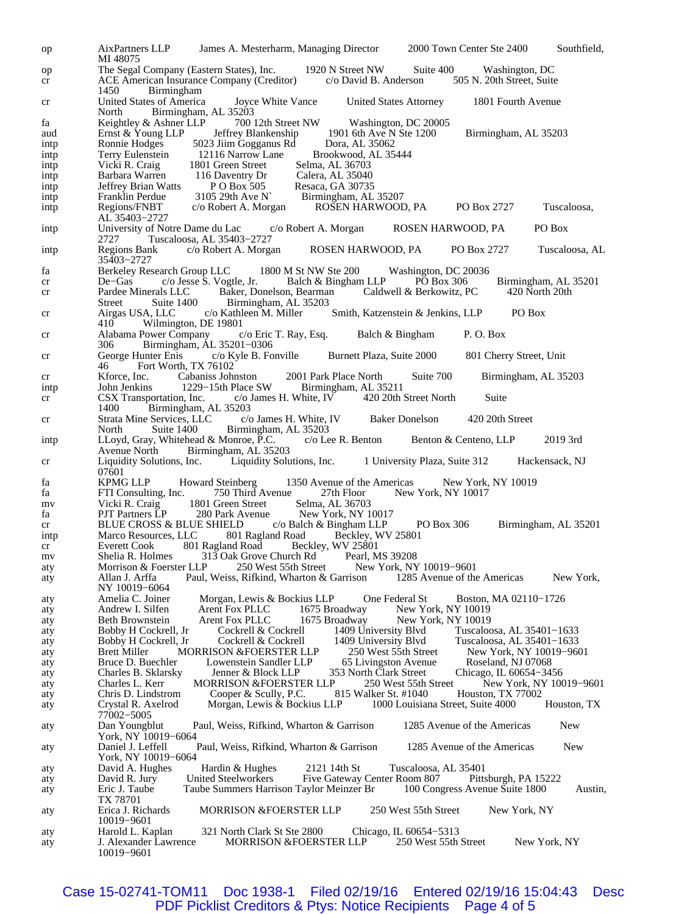op AixPartners LLP James A. Mesterharm, Managing Director 2000 Town Center Ste 2400 Southfield, MI 48075 op The Segal Company (Eastern States), Inc. 1920 N Street NW Suite 400 Washington, DC cr ACE American Insurance Company (Creditor) c/o David B. Anderson 505 N. 20th Street, Suite cr ACE American Insurance Company (Creditor) 1450 Birmingham cr United States of America Joyce White Vance United States Attorney 1801 Fourth Avenue Birmingham, AL 35203 fa Keightley & Ashner LLP 700 12th Street NW Washington, DC 20005<br>aud Ernst & Young LLP Jeffrey Blankenship 1901 6th Ave N Ste 1200 aud Ernst & Young LLP Jeffrey Blankenship 1901 6th Ave N Ste 1200 Birmingham, AL 35203<br>intp Ronnie Hodges 5023 Jiim Gogganus Rd Dora, AL 35062 intp Ronnie Hodges 5023 Jiim Gogganus Rd intp Terry Eulenstein 12116 Narrow Lane Brookwood, AL 35444<br>intp Vicki R. Craig 1801 Green Street Selma, AL 36703 Vicki R. Craig 1801 Green Street<br>Barbara Warren 116 Daventry Dr intp Barbara Warren 116 Daventry Dr Calera, AL 35040<br>intp Jeffrey Brian Watts P O Box 505 Resaca, GA 30735 intp Jeffrey Brian Watts P O Box 505<br>intp Franklin Perdue 3105 29th Ave N Franklin Perdue 3105 29th Ave N` Birmingham, AL 35207<br>Regions/FNBT c/o Robert A. Morgan ROSEN HARWOOI intp Regions/FNBT c/o Robert A. Morgan ROSEN HARWOOD, PA PO Box 2727 Tuscaloosa, AL 35403−2727 intp University of Notre Dame du Lac c/o Robert A. Morgan ROSEN HARWOOD, PA PO Box 2727 Tuscaloosa, AL 35403−2727 intp Regions Bank c/o Robert A. Morgan ROSEN HARWOOD, PA PO Box 2727 Tuscaloosa, AL 35403−2727 fa Berkeley Research Group LLC 1800 M St NW Ste 200 Washington, DC 20036<br>cr De–Gas c/o Jesse S. Vogtle, Jr. Balch & Bingham LLP PO Box 306 cr De–Gas c/o Jesse S. Vogtle, Jr. Balch & Bingham LLP PO Box 306 Birmingham, AL 35201<br>cr Pardee Minerals LLC Baker, Donelson, Bearman Caldwell & Berkowitz, PC 420 North 20th cr Pardee Minerals LLC Baker, Donelson, Bearman Street Suite 1400 Birmingham, AL 35203 Street Suite 1400 Birmingham, AL 35203<br>Airgas USA, LLC c/o Kathleen M. Miller cr Airgas USA, LLC c/o Kathleen M. Miller Smith, Katzenstein & Jenkins, LLP PO Box 410 Wilmington, DE 19801<br>Alabama Power Company c/o Eric T. Ray, Esq. cr Alabama Power Company c/o Eric T. Ray, Esq. Balch & Bingham P. O. Box 306 Birmingham, AL 35201−0306 cr George Hunter Enis c/o Kyle B. Fonville Burnett Plaza, Suite 2000 801 Cherry Street, Unit Fort Worth, TX 76102 cr Kforce, Inc. Cabaniss Johnston 2001 Park Place North Suite 700 Birmingham, AL 35203<br>
intp John Jenkins 1229–15th Place SW Birmingham, AL 35211 Place SW Birmingham, AL 35211<br>c/o James H. White, IV 420 20th Street North cr CSX Transportation, Inc. c/o James H. White, IV 420 20th Street North Suite<br>1400 Birmingham, AL 35203 Birmingham, AL 35203<br>Services, LLC c/o James H. White, IV cr Strata Mine Services, LLC c/o James H. White, IV Baker Donelson 420 20th Street Birmingham, AL 35203<br>Ionroe, P.C. c/o Lee R. Benton intp LLoyd, Gray, Whitehead & Monroe, P.C. c/o Lee R. Benton Benton & Centeno, LLP 2019 3rd<br>Avenue North Birmingham, AL 35203 Birmingham, AL 35203 cr Liquidity Solutions, Inc. Liquidity Solutions, Inc. 1 University Plaza, Suite 312 Hackensack, NJ 07601<br>KPMG LLP fa KPMG LLP Howard Steinberg 1350 Avenue of the Americas New York, NY 10019 27th Floor New York, NY 10017<br>Selma, AL 36703 mv Vicki R. Craig 1801 Green Street<br>fa PJT Partners LP 280 Park Avenue fa PJT Partners LP 280 Park Avenue New York, NY 10017<br>cr BLUE CROSS & BLUE SHIELD c/o Balch & Bingham LLP cr BLUE CROSS & BLUE SHIELD c/o Balch & Bingham LLP PO Box 306 Birmingham, AL 35201 intp Marco Resources, LLC 801 Ragland Road Beckley, WV 25801<br>cr Everett Cook 801 Ragland Road Beckley, WV 25801 cr Everett Cook 801 Ragland Road Beckley, WV 25801<br>mv Shelia R. Holmes 313 Oak Grove Church Rd Pearl, MS 39208 mv Shelia R. Holmes 313 Oak Grove Church Rd<br>aty Morrison & Foerster LLP 250 West 55th Street aty Morrison & Foerster LLP 250 West 55th Street New York, NY 10019−9601 aty Allan J. Arffa Paul, Weiss, Rifkind, Wharton & Garrison 1285 Avenue of the Americas New York, NY 10019−6064 aty Amelia C. Joiner Morgan, Lewis & Bockius LLP One Federal St Boston, MA 02110−1726<br>aty Andrew I. Silfen Arent Fox PLLC 1675 Broadway New York, NY 10019 New York, NY 10019 aty Beth Brownstein Arent Fox PLLC 1675 Broadway New York, NY 10019<br>aty Bobby H Cockrell, Jr Cockrell & Cockrell 1409 University Blvd Tuscaloc aty Bobby H Cockrell, Jr Cockrell & Cockrell 1409 University Blvd Tuscaloosa, AL 35401−1633 aty Bobby H Cockrell, Jr Cockrell & Cockrell 1409 University Blvd Tuscaloosa, AL 35401−1633 MORRISON &FOERSTER LLP 250 West 55th Street New York, NY 1001<br>France Moseland, NJ 07068 aty Bruce D. Buechler Lowenstein Sandler LLP 65 Livingston Avenue<br>
aty Charles B. Sklarsky Jenner & Block LLP 353 North Clark Street aty Charles B. Sklarsky Jenner & Block LLP 353 North Clark Street Chicago, IL 60654−3456 aty Charles L. Kerr MORRISON &FOERSTER LLP 250 West 55th Street New York, N'<br>aty Chris D. Lindstrom Cooper & Scully, P.C. 815 Walker St. #1040 Houston, TX 77002 aty Chris D. Lindstrom Cooper & Scully, P.C. 815 Walker St. #1040 aty Crystal R. Axelrod Morgan, Lewis & Bockius LLP 1000 Louisian aty Crystal R. Axelrod Morgan, Lewis & Bockius LLP 1000 Louisiana Street, Suite 4000 Houston, TX 77002−5005 aty Dan Youngblut Paul, Weiss, Rifkind, Wharton & Garrison 1285 Avenue of the Americas New York, NY 10019−6064 aty Daniel J. Leffell Paul, Weiss, Rifkind, Wharton & Garrison 1285 Avenue of the Americas New York, NY 10019−6064 aty David A. Hughes Hardin & Hughes 2121 14th St Tuscaloosa, AL 35401<br>aty David R. Jury United Steelworkers Five Gateway Center Room 807 Pittsburgh, PA 15222 aty David R. Jury United Steelworkers Five Gateway Center Room 807 Pittsburgh, PA 152<br>aty Eric J. Taube Taube Summers Harrison Taylor Meinzer Br 100 Congress Avenue Suite 1800 aty Eric J. Taube Taube Summers Harrison Taylor Meinzer Br 100 Congress Avenue Suite 1800 Austin, TX 78701 aty Erica J. Richards MORRISON &FOERSTER LLP 250 West 55th Street New York, NY 10019−9601 aty Harold L. Kaplan 321 North Clark St Ste 2800 Chicago, IL 60654−5313 aty J. Alexander Lawrence MORRISON &FOERSTER LLP 250 West 55th Street New York, NY 10019−9601

Case 15-02741-TOM11 Doc 1938-1 Filed 02/19/16 Entered 02/19/16 15:04:43 Desc PDF Picklist Creditors & Ptys: Notice Recipients Page 4 of 5